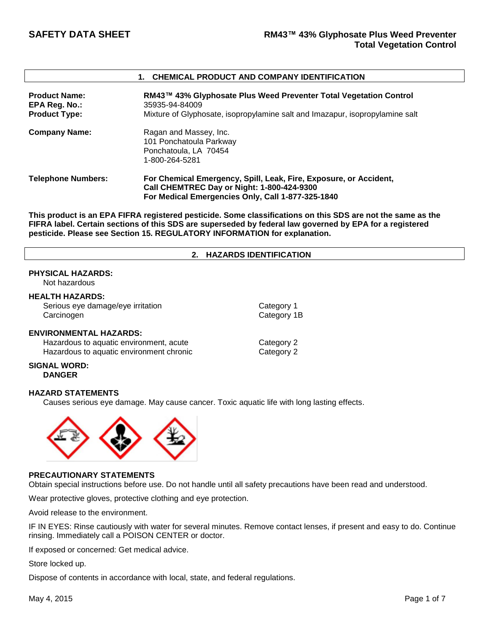### **1. CHEMICAL PRODUCT AND COMPANY IDENTIFICATION**

| <b>Product Name:</b><br>EPA Reg. No.:<br><b>Product Type:</b> | RM43™ 43% Glyphosate Plus Weed Preventer Total Vegetation Control<br>35935-94-84009<br>Mixture of Glyphosate, isopropylamine salt and Imazapur, isopropylamine salt         |
|---------------------------------------------------------------|-----------------------------------------------------------------------------------------------------------------------------------------------------------------------------|
| <b>Company Name:</b>                                          | Ragan and Massey, Inc.<br>101 Ponchatoula Parkway<br>Ponchatoula, LA 70454<br>1-800-264-5281                                                                                |
| <b>Telephone Numbers:</b>                                     | For Chemical Emergency, Spill, Leak, Fire, Exposure, or Accident,<br><b>Call CHEMTREC Day or Night: 1-800-424-9300</b><br>For Medical Emergencies Only, Call 1-877-325-1840 |

**This product is an EPA FIFRA registered pesticide. Some classifications on this SDS are not the same as the FIFRA label. Certain sections of this SDS are superseded by federal law governed by EPA for a registered pesticide. Please see Section 15. REGULATORY INFORMATION for explanation.**

### **2. HAZARDS IDENTIFICATION**

# **PHYSICAL HAZARDS:**

Not hazardous

# **HEALTH HAZARDS:** Serious eye damage/eye irritation example of the Category 1 Carcinogen **Category 1B ENVIRONMENTAL HAZARDS:** Hazardous to aquatic environment, acute Category 2 Hazardous to aquatic environment chronic Electronic Category 2

### **SIGNAL WORD: DANGER**

### **HAZARD STATEMENTS**

Causes serious eye damage. May cause cancer. Toxic aquatic life with long lasting effects.



# **PRECAUTIONARY STATEMENTS**

Obtain special instructions before use. Do not handle until all safety precautions have been read and understood.

Wear protective gloves, protective clothing and eye protection.

Avoid release to the environment.

IF IN EYES: Rinse cautiously with water for several minutes. Remove contact lenses, if present and easy to do. Continue rinsing. Immediately call a POISON CENTER or doctor.

If exposed or concerned: Get medical advice.

Store locked up.

Dispose of contents in accordance with local, state, and federal regulations.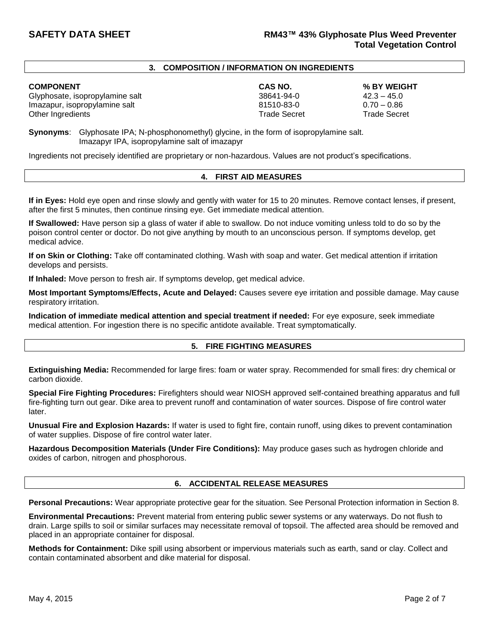### **3. COMPOSITION / INFORMATION ON INGREDIENTS**

### **COMPONENT CAS NO. % BY WEIGHT**

Glyphosate, isopropylamine salt and the self-control of the 38641-94-0 42.3 – 45.0<br>19 and 38641-94-0 42.3 – 45.0 42.3 – 45.0 42.3 – 45.0 42.3 + 45.0 42.3 + 45.0 42.3 + 45.0 42.3 + 45.0 42.3 + 4 Imazapur, isopropylamine salt 81510-83-0 Other Ingredients **Trade Secret** Trade Secret Trade Secret Trade Secret Trade Secret Trade Secret Trade Secret Trade Secret Trade Secret Trade Secret Trade Secret Trade Secret Trade Secret Trade Secret Trade Secret Trade S

**Synonyms**: Glyphosate IPA; N-phosphonomethyl) glycine, in the form of isopropylamine salt. Imazapyr IPA, isopropylamine salt of imazapyr

Ingredients not precisely identified are proprietary or non-hazardous. Values are not product's specifications.

### **4. FIRST AID MEASURES**

**If in Eyes:** Hold eye open and rinse slowly and gently with water for 15 to 20 minutes. Remove contact lenses, if present, after the first 5 minutes, then continue rinsing eye. Get immediate medical attention.

**If Swallowed:** Have person sip a glass of water if able to swallow. Do not induce vomiting unless told to do so by the poison control center or doctor. Do not give anything by mouth to an unconscious person. If symptoms develop, get medical advice.

**If on Skin or Clothing:** Take off contaminated clothing. Wash with soap and water. Get medical attention if irritation develops and persists.

**If Inhaled:** Move person to fresh air. If symptoms develop, get medical advice.

**Most Important Symptoms/Effects, Acute and Delayed:** Causes severe eye irritation and possible damage. May cause respiratory irritation.

**Indication of immediate medical attention and special treatment if needed:** For eye exposure, seek immediate medical attention. For ingestion there is no specific antidote available. Treat symptomatically.

# **5. FIRE FIGHTING MEASURES**

**Extinguishing Media:** Recommended for large fires: foam or water spray. Recommended for small fires: dry chemical or carbon dioxide.

**Special Fire Fighting Procedures:** Firefighters should wear NIOSH approved self-contained breathing apparatus and full fire-fighting turn out gear. Dike area to prevent runoff and contamination of water sources. Dispose of fire control water later.

**Unusual Fire and Explosion Hazards:** If water is used to fight fire, contain runoff, using dikes to prevent contamination of water supplies. Dispose of fire control water later.

**Hazardous Decomposition Materials (Under Fire Conditions):** May produce gases such as hydrogen chloride and oxides of carbon, nitrogen and phosphorous.

### **6. ACCIDENTAL RELEASE MEASURES**

**Personal Precautions:** Wear appropriate protective gear for the situation. See Personal Protection information in Section 8.

**Environmental Precautions:** Prevent material from entering public sewer systems or any waterways. Do not flush to drain. Large spills to soil or similar surfaces may necessitate removal of topsoil. The affected area should be removed and placed in an appropriate container for disposal.

**Methods for Containment:** Dike spill using absorbent or impervious materials such as earth, sand or clay. Collect and contain contaminated absorbent and dike material for disposal.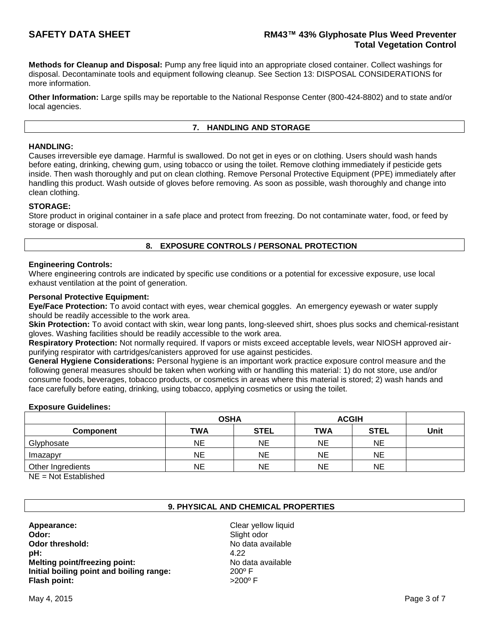**Methods for Cleanup and Disposal:** Pump any free liquid into an appropriate closed container. Collect washings for disposal. Decontaminate tools and equipment following cleanup. See Section 13: DISPOSAL CONSIDERATIONS for more information.

**Other Information:** Large spills may be reportable to the National Response Center (800-424-8802) and to state and/or local agencies.

# **7. HANDLING AND STORAGE**

# **HANDLING:**

Causes irreversible eye damage. Harmful is swallowed. Do not get in eyes or on clothing. Users should wash hands before eating, drinking, chewing gum, using tobacco or using the toilet. Remove clothing immediately if pesticide gets inside. Then wash thoroughly and put on clean clothing. Remove Personal Protective Equipment (PPE) immediately after handling this product. Wash outside of gloves before removing. As soon as possible, wash thoroughly and change into clean clothing.

# **STORAGE:**

Store product in original container in a safe place and protect from freezing. Do not contaminate water, food, or feed by storage or disposal.

# **8. EXPOSURE CONTROLS / PERSONAL PROTECTION**

### **Engineering Controls:**

Where engineering controls are indicated by specific use conditions or a potential for excessive exposure, use local exhaust ventilation at the point of generation.

### **Personal Protective Equipment:**

**Eye/Face Protection:** To avoid contact with eyes, wear chemical goggles. An emergency eyewash or water supply should be readily accessible to the work area.

**Skin Protection:** To avoid contact with skin, wear long pants, long-sleeved shirt, shoes plus socks and chemical-resistant gloves. Washing facilities should be readily accessible to the work area.

**Respiratory Protection:** Not normally required. If vapors or mists exceed acceptable levels, wear NIOSH approved airpurifying respirator with cartridges/canisters approved for use against pesticides.

**General Hygiene Considerations:** Personal hygiene is an important work practice exposure control measure and the following general measures should be taken when working with or handling this material: 1) do not store, use and/or consume foods, beverages, tobacco products, or cosmetics in areas where this material is stored; 2) wash hands and face carefully before eating, drinking, using tobacco, applying cosmetics or using the toilet.

### **Exposure Guidelines:**

|                   | <b>OSHA</b> |             | <b>ACGIH</b> |             |      |
|-------------------|-------------|-------------|--------------|-------------|------|
| Component         | TWA         | <b>STEL</b> | <b>TWA</b>   | <b>STEL</b> | Unit |
| Glyphosate        | ΝE          | NE          | NE           | NE          |      |
| Imazapyr          | NE          | NE          | <b>NE</b>    | <b>NE</b>   |      |
| Other Ingredients | ΝE          | ΝE          | NE           | NE          |      |

NE = Not Established

# **9. PHYSICAL AND CHEMICAL PROPERTIES**

**Appearance:** Clear yellow liquid **Odor:** Slight odor **Odor threshold:** No data available **pH:** 4.22 **Melting point/freezing point:** No data available **Initial boiling point and boiling range:** 200º F **Flash point:**  $>200^{\circ}$  F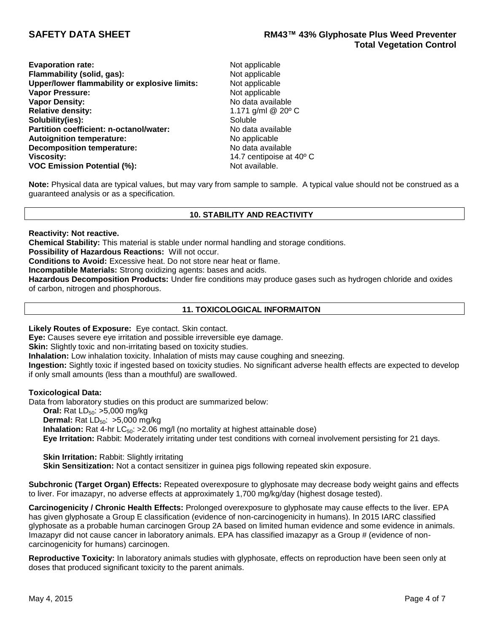| <b>Evaporation rate:</b>                      | Not app   |
|-----------------------------------------------|-----------|
| Flammability (solid, gas):                    | Not app   |
| Upper/lower flammability or explosive limits: | Not app   |
| <b>Vapor Pressure:</b>                        | Not app   |
| <b>Vapor Density:</b>                         | No data   |
| <b>Relative density:</b>                      | 1.171 $g$ |
| Solubility(ies):                              | Soluble   |
| Partition coefficient: n-octanol/water:       | No data   |
| <b>Autoignition temperature:</b>              | No appl   |
| <b>Decomposition temperature:</b>             | No data   |
| Viscosity:                                    | 14.7 ce   |
| <b>VOC Emission Potential (%):</b>            | Not ava   |
|                                               |           |

**Not applicable Not applicable Not applicable Not applicable No data available Relative density:** 1.171 g/ml @ 20º C **Partition coefficient: n-octanol/water:** No data available **No applicable Decomposition temperature:** No data available **Viscosity:** 14.7 centipoise at 40º C **Not available.** 

**Note:** Physical data are typical values, but may vary from sample to sample. A typical value should not be construed as a guaranteed analysis or as a specification.

# **10. STABILITY AND REACTIVITY**

### **Reactivity: Not reactive.**

**Chemical Stability:** This material is stable under normal handling and storage conditions.

**Possibility of Hazardous Reactions:** Will not occur.

**Conditions to Avoid:** Excessive heat. Do not store near heat or flame.

**Incompatible Materials:** Strong oxidizing agents: bases and acids.

**Hazardous Decomposition Products:** Under fire conditions may produce gases such as hydrogen chloride and oxides of carbon, nitrogen and phosphorous.

# **11. TOXICOLOGICAL INFORMAITON**

# **Likely Routes of Exposure:** Eye contact. Skin contact.

**Eye:** Causes severe eye irritation and possible irreversible eye damage.

**Skin:** Slightly toxic and non-irritating based on toxicity studies.

**Inhalation:** Low inhalation toxicity. Inhalation of mists may cause coughing and sneezing.

**Ingestion:** Sightly toxic if ingested based on toxicity studies. No significant adverse health effects are expected to develop if only small amounts (less than a mouthful) are swallowed.

# **Toxicological Data:**

Data from laboratory studies on this product are summarized below: **Oral:** Rat LD<sub>50</sub>: >5,000 mg/kg **Dermal:** Rat LD<sub>50</sub>: >5,000 mg/kg **Inhalation:** Rat 4-hr LC<sub>50</sub>: >2.06 mg/l (no mortality at highest attainable dose) **Eye Irritation:** Rabbit: Moderately irritating under test conditions with corneal involvement persisting for 21 days.

**Skin Irritation: Rabbit: Slightly irritating** 

**Skin Sensitization:** Not a contact sensitizer in guinea pigs following repeated skin exposure.

**Subchronic (Target Organ) Effects:** Repeated overexposure to glyphosate may decrease body weight gains and effects to liver. For imazapyr, no adverse effects at approximately 1,700 mg/kg/day (highest dosage tested).

**Carcinogenicity / Chronic Health Effects:** Prolonged overexposure to glyphosate may cause effects to the liver. EPA has given glyphosate a Group E classification (evidence of non-carcinogenicity in humans). In 2015 IARC classified glyphosate as a probable human carcinogen Group 2A based on limited human evidence and some evidence in animals. Imazapyr did not cause cancer in laboratory animals. EPA has classified imazapyr as a Group # (evidence of noncarcinogenicity for humans) carcinogen.

**Reproductive Toxicity:** In laboratory animals studies with glyphosate, effects on reproduction have been seen only at doses that produced significant toxicity to the parent animals.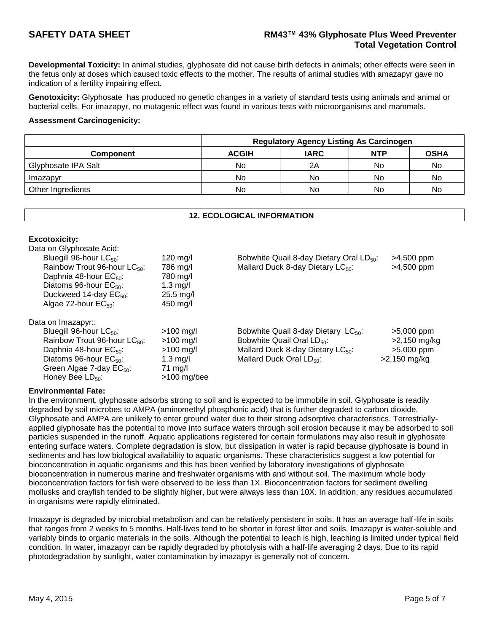# **SAFETY DATA SHEET RM43™ 43% Glyphosate Plus Weed Preventer Total Vegetation Control**

**Developmental Toxicity:** In animal studies, glyphosate did not cause birth defects in animals; other effects were seen in the fetus only at doses which caused toxic effects to the mother. The results of animal studies with amazapyr gave no indication of a fertility impairing effect.

**Genotoxicity:** Glyphosate has produced no genetic changes in a variety of standard tests using animals and animal or bacterial cells. For imazapyr, no mutagenic effect was found in various tests with microorganisms and mammals.

### **Assessment Carcinogenicity:**

|                     | <b>Regulatory Agency Listing As Carcinogen</b> |             |            |             |
|---------------------|------------------------------------------------|-------------|------------|-------------|
| <b>Component</b>    | <b>ACGIH</b>                                   | <b>IARC</b> | <b>NTP</b> | <b>OSHA</b> |
| Glyphosate IPA Salt | No                                             | 2Α          | No         | No          |
| Imazapyr            | No                                             | No          | No         | No          |
| Other Ingredients   | No                                             | No          | No         | No          |

# **12. ECOLOGICAL INFORMATION**

| Data on Glyphosate Acid:                 |                       |                                                      |                |
|------------------------------------------|-----------------------|------------------------------------------------------|----------------|
| Bluegill 96-hour $LC_{50}$ :             | $120 \text{ rad}$     | Bobwhite Quail 8-day Dietary Oral LD <sub>50</sub> : | >4,500 ppm     |
| Rainbow Trout 96-hour LC <sub>50</sub> : | 786 mg/l              | Mallard Duck 8-day Dietary LC <sub>50</sub> :        | $>4,500$ ppm   |
| Daphnia 48-hour $EC_{50}$ :              | 780 mg/l              |                                                      |                |
| Diatoms 96-hour $EC_{50}$ :              | $1.3 \text{ mg/l}$    |                                                      |                |
| Duckweed 14-day $EC_{50}$ :              | $25.5 \text{ mg/l}$   |                                                      |                |
| Algae 72-hour $EC_{50}$ :                | $450$ mg/l            |                                                      |                |
| Data on Imazapyr::                       |                       |                                                      |                |
| Bluegill 96-hour LC <sub>50</sub> :      | $>100$ mg/l           | Bobwhite Quail 8-day Dietary $LC_{50}$ :             | $>5,000$ ppm   |
| Rainbow Trout 96-hour $LC_{50}$ :        | $>100$ mg/l           | Bobwhite Quail Oral LD <sub>50</sub> :               | $>2,150$ mg/kg |
| Daphnia 48-hour $EC_{50}$ :              | $>100 \; \text{mg/l}$ | Mallard Duck 8-day Dietary $LC_{50}$ :               | >5,000 ppm     |
| Diatoms 96-hour EC <sub>50</sub> :       | $1.3 \text{ mg/l}$    | Mallard Duck Oral LD <sub>50</sub> :                 | $>2,150$ mg/kg |
| Green Algae 7-day $EC_{50}$ :            | $71 \text{ mg/l}$     |                                                      |                |
| Honey Bee $LD_{50}$ :                    | $>100$ mg/bee         |                                                      |                |

# **Environmental Fate:**

**Excotoxicity:**

In the environment, glyphosate adsorbs strong to soil and is expected to be immobile in soil. Glyphosate is readily degraded by soil microbes to AMPA (aminomethyl phosphonic acid) that is further degraded to carbon dioxide. Glyphosate and AMPA are unlikely to enter ground water due to their strong adsorptive characteristics. Terrestriallyapplied glyphosate has the potential to move into surface waters through soil erosion because it may be adsorbed to soil particles suspended in the runoff. Aquatic applications registered for certain formulations may also result in glyphosate entering surface waters. Complete degradation is slow, but dissipation in water is rapid because glyphosate is bound in sediments and has low biological availability to aquatic organisms. These characteristics suggest a low potential for bioconcentration in aquatic organisms and this has been verified by laboratory investigations of glyphosate bioconcentration in numerous marine and freshwater organisms with and without soil. The maximum whole body bioconcentration factors for fish were observed to be less than 1X. Bioconcentration factors for sediment dwelling mollusks and crayfish tended to be slightly higher, but were always less than 10X. In addition, any residues accumulated in organisms were rapidly eliminated.

Imazapyr is degraded by microbial metabolism and can be relatively persistent in soils. It has an average half-life in soils that ranges from 2 weeks to 5 months. Half-lives tend to be shorter in forest litter and soils. Imazapyr is water-soluble and variably binds to organic materials in the soils. Although the potential to leach is high, leaching is limited under typical field condition. In water, imazapyr can be rapidly degraded by photolysis with a half-life averaging 2 days. Due to its rapid photodegradation by sunlight, water contamination by imazapyr is generally not of concern.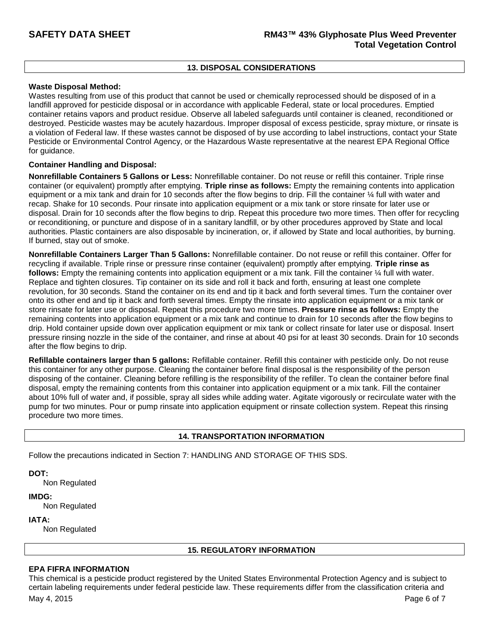# **13. DISPOSAL CONSIDERATIONS**

### **Waste Disposal Method:**

Wastes resulting from use of this product that cannot be used or chemically reprocessed should be disposed of in a landfill approved for pesticide disposal or in accordance with applicable Federal, state or local procedures. Emptied container retains vapors and product residue. Observe all labeled safeguards until container is cleaned, reconditioned or destroyed. Pesticide wastes may be acutely hazardous. Improper disposal of excess pesticide, spray mixture, or rinsate is a violation of Federal law. If these wastes cannot be disposed of by use according to label instructions, contact your State Pesticide or Environmental Control Agency, or the Hazardous Waste representative at the nearest EPA Regional Office for guidance.

# **Container Handling and Disposal:**

**Nonrefillable Containers 5 Gallons or Less:** Nonrefillable container. Do not reuse or refill this container. Triple rinse container (or equivalent) promptly after emptying. **Triple rinse as follows:** Empty the remaining contents into application equipment or a mix tank and drain for 10 seconds after the flow begins to drip. Fill the container ¼ full with water and recap. Shake for 10 seconds. Pour rinsate into application equipment or a mix tank or store rinsate for later use or disposal. Drain for 10 seconds after the flow begins to drip. Repeat this procedure two more times. Then offer for recycling or reconditioning, or puncture and dispose of in a sanitary landfill, or by other procedures approved by State and local authorities. Plastic containers are also disposable by incineration, or, if allowed by State and local authorities, by burning. If burned, stay out of smoke.

**Nonrefillable Containers Larger Than 5 Gallons:** Nonrefillable container. Do not reuse or refill this container. Offer for recycling if available. Triple rinse or pressure rinse container (equivalent) promptly after emptying. **Triple rinse as follows:** Empty the remaining contents into application equipment or a mix tank. Fill the container ¼ full with water. Replace and tighten closures. Tip container on its side and roll it back and forth, ensuring at least one complete revolution, for 30 seconds. Stand the container on its end and tip it back and forth several times. Turn the container over onto its other end and tip it back and forth several times. Empty the rinsate into application equipment or a mix tank or store rinsate for later use or disposal. Repeat this procedure two more times. **Pressure rinse as follows:** Empty the remaining contents into application equipment or a mix tank and continue to drain for 10 seconds after the flow begins to drip. Hold container upside down over application equipment or mix tank or collect rinsate for later use or disposal. Insert pressure rinsing nozzle in the side of the container, and rinse at about 40 psi for at least 30 seconds. Drain for 10 seconds after the flow begins to drip.

**Refillable containers larger than 5 gallons:** Refillable container. Refill this container with pesticide only. Do not reuse this container for any other purpose. Cleaning the container before final disposal is the responsibility of the person disposing of the container. Cleaning before refilling is the responsibility of the refiller. To clean the container before final disposal, empty the remaining contents from this container into application equipment or a mix tank. Fill the container about 10% full of water and, if possible, spray all sides while adding water. Agitate vigorously or recirculate water with the pump for two minutes. Pour or pump rinsate into application equipment or rinsate collection system. Repeat this rinsing procedure two more times.

# **14. TRANSPORTATION INFORMATION**

Follow the precautions indicated in Section 7: HANDLING AND STORAGE OF THIS SDS.

**DOT:**

Non Regulated

**IMDG:**

Non Regulated

**IATA:**

Non Regulated

# **15. REGULATORY INFORMATION**

# **EPA FIFRA INFORMATION**

May 4, 2015 Page 6 of 7 This chemical is a pesticide product registered by the United States Environmental Protection Agency and is subject to certain labeling requirements under federal pesticide law. These requirements differ from the classification criteria and